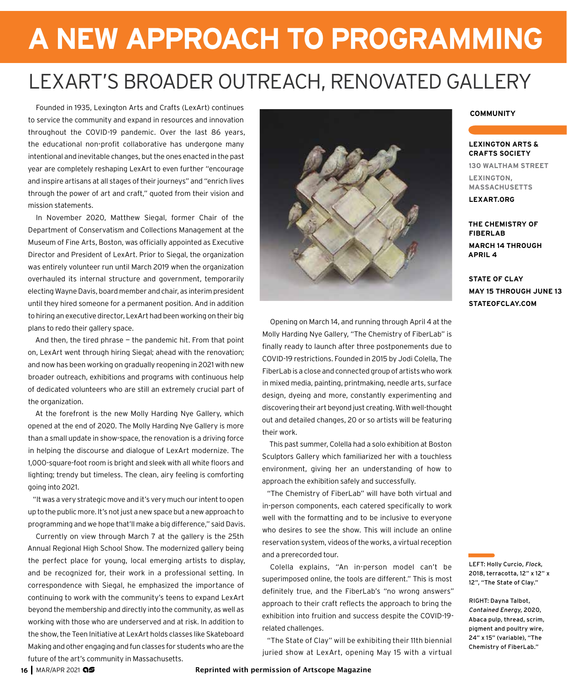## **A NEW APPROACH TO PROGRAMMING**

## LEXART'S BROADER OUTREACH, RENOVATED GALLERY

Founded in 1935, Lexington Arts and Crafts (LexArt) continues to service the community and expand in resources and innovation throughout the COVID-19 pandemic. Over the last 86 years, the educational non-profit collaborative has undergone many intentional and inevitable changes, but the ones enacted in the past year are completely reshaping LexArt to even further "encourage and inspire artisans at all stages of their journeys" and "enrich lives through the power of art and craft," quoted from their vision and mission statements.

In November 2020, Matthew Siegal, former Chair of the Department of Conservatism and Collections Management at the Museum of Fine Arts, Boston, was officially appointed as Executive Director and President of LexArt. Prior to Siegal, the organization was entirely volunteer run until March 2019 when the organization overhauled its internal structure and government, temporarily electing Wayne Davis, board member and chair, as interim president until they hired someone for a permanent position. And in addition to hiring an executive director, LexArt had been working on their big plans to redo their gallery space.

And then, the tired phrase  $-$  the pandemic hit. From that point on, LexArt went through hiring Siegal; ahead with the renovation; and now has been working on gradually reopening in 2021 with new broader outreach, exhibitions and programs with continuous help of dedicated volunteers who are still an extremely crucial part of the organization.

At the forefront is the new Molly Harding Nye Gallery, which opened at the end of 2020. The Molly Harding Nye Gallery is more than a small update in show-space, the renovation is a driving force in helping the discourse and dialogue of LexArt modernize. The 1,000-square-foot room is bright and sleek with all white floors and lighting; trendy but timeless. The clean, airy feeling is comforting going into 2021.

"It was a very strategic move and it's very much our intent to open up to the public more. It's not just a new space but a new approach to programming and we hope that'll make a big difference," said Davis.

Currently on view through March 7 at the gallery is the 25th Annual Regional High School Show. The modernized gallery being the perfect place for young, local emerging artists to display, and be recognized for, their work in a professional setting. In correspondence with Siegal, he emphasized the importance of continuing to work with the community's teens to expand LexArt beyond the membership and directly into the community, as well as working with those who are underserved and at risk. In addition to the show, the Teen Initiative at LexArt holds classes like Skateboard Making and other engaging and fun classes for students who are the future of the art's community in Massachusetts.



Opening on March 14, and running through April 4 at the Molly Harding Nye Gallery, "The Chemistry of FiberLab" is finally ready to launch after three postponements due to COVID-19 restrictions. Founded in 2015 by Jodi Colella, The FiberLab is a close and connected group of artists who work in mixed media, painting, printmaking, needle arts, surface design, dyeing and more, constantly experimenting and discovering their art beyond just creating. With well-thought out and detailed changes, 20 or so artists will be featuring their work.

This past summer, Colella had a solo exhibition at Boston Sculptors Gallery which familiarized her with a touchless environment, giving her an understanding of how to approach the exhibition safely and successfully.

"The Chemistry of FiberLab" will have both virtual and in-person components, each catered specifically to work well with the formatting and to be inclusive to everyone who desires to see the show. This will include an online reservation system, videos of the works, a virtual reception and a prerecorded tour.

Colella explains, "An in-person model can't be superimposed online, the tools are different." This is most definitely true, and the FiberLab's "no wrong answers" approach to their craft reflects the approach to bring the exhibition into fruition and success despite the COVID-19 related challenges.

"The State of Clay" will be exhibiting their 11th biennial juried show at LexArt, opening May 15 with a virtual

## **COMMUNITY**

## **LEXINGTON ARTS & CRAFTS SOCIETY**

**130 WALTHAM STREET LEXINGTON, MASSACHUSETTS**

**LEXART.ORG**

**THE CHEMISTRY OF FIBERLAB MARCH 14 THROUGH APRIL 4**

**STATE OF CLAY MAY 15 THROUGH JUNE 13 STATEOFCLAY.COM**

LEFT: Holly Curcio, Flock, 2018, terracotta, 12" x 12" x 12", "The State of Clay."

RIGHT: Dayna Talbot, Contained Energy, 2020, Abaca pulp, thread, scrim, pigment and poultry wire, 24" x 15" (variable), "The Chemistry of FiberLab."